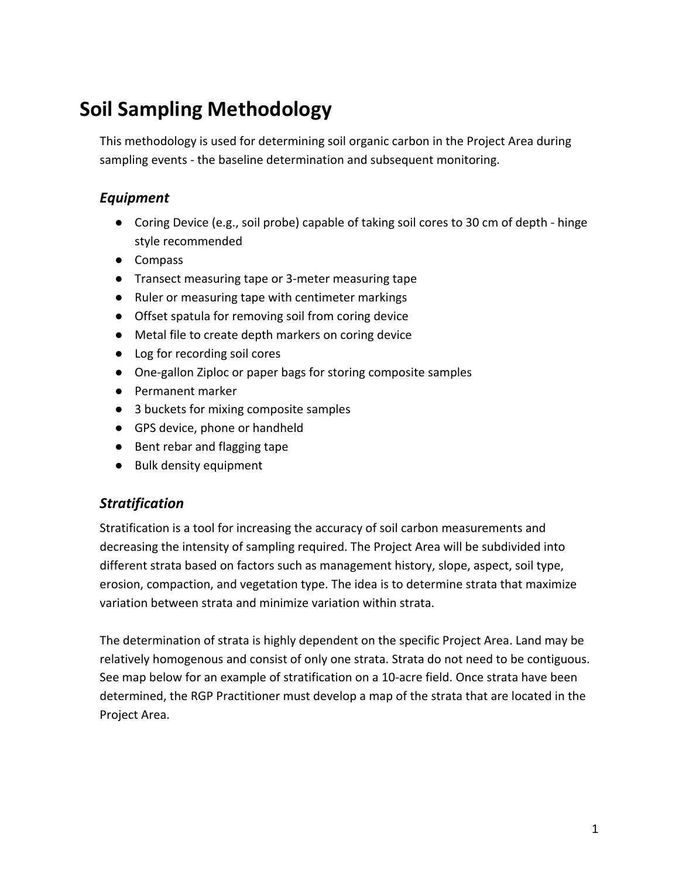# **Soil Sampling Methodology**

This methodology is used for determining soil organic carbon in the Project Area during sampling events - the baseline determination and subsequent monitoring.

# *Equipment*

- Coring Device (e.g., soil probe) capable of taking soil cores to 30 cm of depth hinge style recommended
- Compass
- Transect measuring tape or 3-meter measuring tape
- Ruler or measuring tape with centimeter markings
- Offset spatula for removing soil from coring device
- Metal file to create depth markers on coring device
- Log for recording soil cores
- One-gallon Ziploc or paper bags for storing composite samples
- Permanent marker
- 3 buckets for mixing composite samples
- GPS device, phone or handheld
- Bent rebar and flagging tape
- Bulk density equipment

# *Stratification*

Stratification is a tool for increasing the accuracy of soil carbon measurements and decreasing the intensity of sampling required. The Project Area will be subdivided into different strata based on factors such as management history, slope, aspect, soil type, erosion, compaction, and vegetation type. The idea is to determine strata that maximize variation between strata and minimize variation within strata.

The determination of strata is highly dependent on the specific Project Area. Land may be relatively homogenous and consist of only one strata. Strata do not need to be contiguous. See map below for an example of stratification on a 10-acre field. Once strata have been determined, the RGP Practitioner must develop a map of the strata that are located in the Project Area.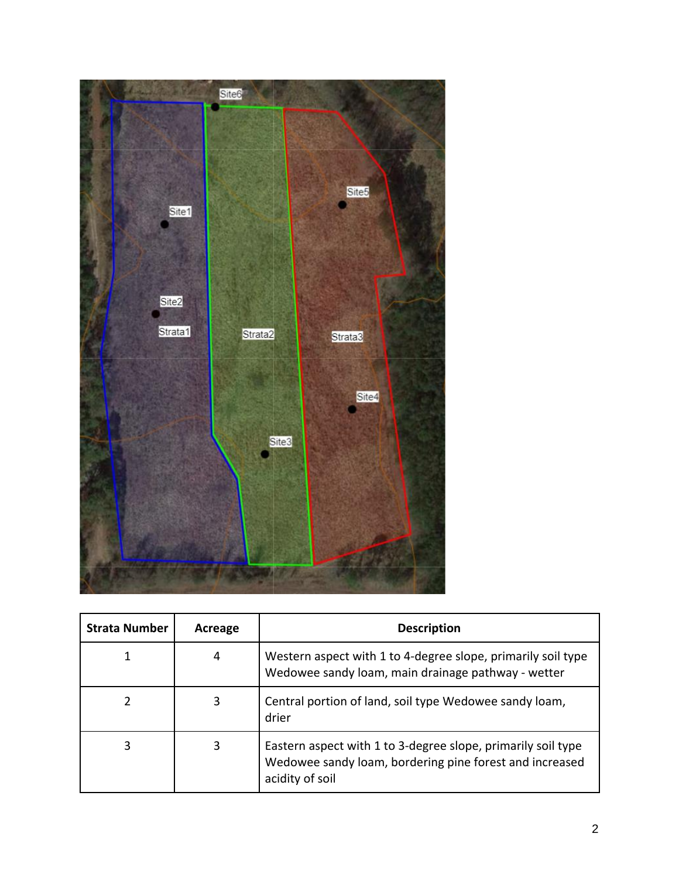

| <b>Strata Number</b> | Acreage | <b>Description</b>                                                                                                                         |
|----------------------|---------|--------------------------------------------------------------------------------------------------------------------------------------------|
|                      | 4       | Western aspect with 1 to 4-degree slope, primarily soil type<br>Wedowee sandy loam, main drainage pathway - wetter                         |
|                      | 3       | Central portion of land, soil type Wedowee sandy loam,<br>drier                                                                            |
| 3                    | 3       | Eastern aspect with 1 to 3-degree slope, primarily soil type<br>Wedowee sandy loam, bordering pine forest and increased<br>acidity of soil |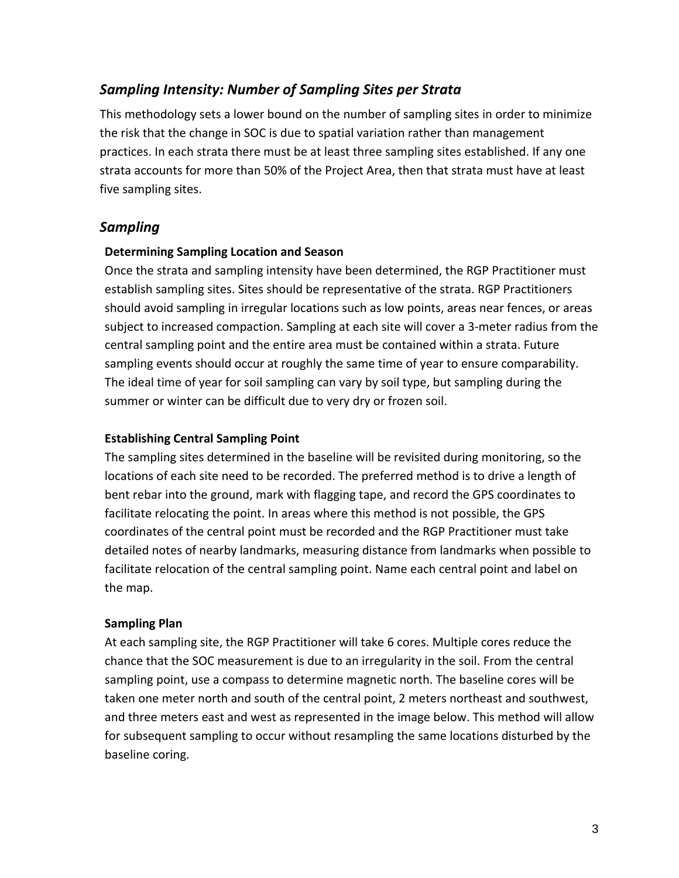# *Sampling Intensity: Number of Sampling Sites per Strata*

This methodology sets a lower bound on the number of sampling sites in order to minimize the risk that the change in SOC is due to spatial variation rather than management practices. In each strata there must be at least three sampling sites established. If any one strata accounts for more than 50% of the Project Area, then that strata must have at least five sampling sites.

## *Sampling*

## **Determining Sampling Location and Season**

Once the strata and sampling intensity have been determined, the RGP Practitioner must establish sampling sites. Sites should be representative of the strata. RGP Practitioners should avoid sampling in irregular locations such as low points, areas near fences, or areas subject to increased compaction. Sampling at each site will cover a 3-meter radius from the central sampling point and the entire area must be contained within a strata. Future sampling events should occur at roughly the same time of year to ensure comparability. The ideal time of year for soil sampling can vary by soil type, but sampling during the summer or winter can be difficult due to very dry or frozen soil.

#### **Establishing Central Sampling Point**

The sampling sites determined in the baseline will be revisited during monitoring, so the locations of each site need to be recorded. The preferred method is to drive a length of bent rebar into the ground, mark with flagging tape, and record the GPS coordinates to facilitate relocating the point. In areas where this method is not possible, the GPS coordinates of the central point must be recorded and the RGP Practitioner must take detailed notes of nearby landmarks, measuring distance from landmarks when possible to facilitate relocation of the central sampling point. Name each central point and label on the map.

#### **Sampling Plan**

At each sampling site, the RGP Practitioner will take 6 cores. Multiple cores reduce the chance that the SOC measurement is due to an irregularity in the soil. From the central sampling point, use a compass to determine magnetic north. The baseline cores will be taken one meter north and south of the central point, 2 meters northeast and southwest, and three meters east and west as represented in the image below. This method will allow for subsequent sampling to occur without resampling the same locations disturbed by the baseline coring.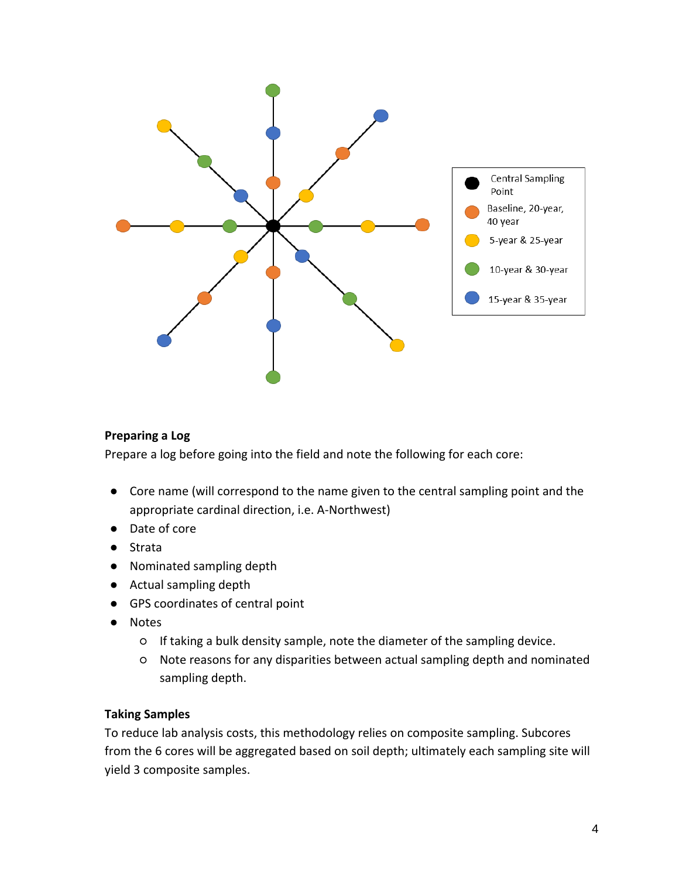

## **Preparing a Log**

Prepare a log before going into the field and note the following for each core:

- Core name (will correspond to the name given to the central sampling point and the appropriate cardinal direction, i.e. A-Northwest)
- Date of core
- Strata
- Nominated sampling depth
- Actual sampling depth
- GPS coordinates of central point
- Notes
	- If taking a bulk density sample, note the diameter of the sampling device.
	- Note reasons for any disparities between actual sampling depth and nominated sampling depth.

## **Taking Samples**

To reduce lab analysis costs, this methodology relies on composite sampling. Subcores from the 6 cores will be aggregated based on soil depth; ultimately each sampling site will yield 3 composite samples.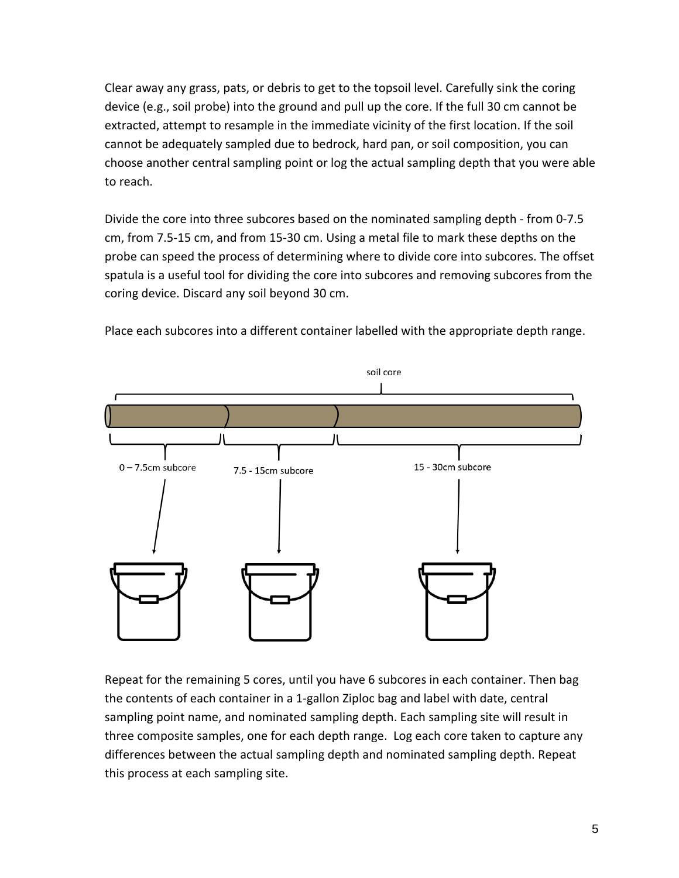Clear away any grass, pats, or debris to get to the topsoil level. Carefully sink the coring device (e.g., soil probe) into the ground and pull up the core. If the full 30 cm cannot be extracted, attempt to resample in the immediate vicinity of the first location. If the soil cannot be adequately sampled due to bedrock, hard pan, or soil composition, you can choose another central sampling point or log the actual sampling depth that you were able to reach.

Divide the core into three subcores based on the nominated sampling depth - from 0-7.5 cm, from 7.5-15 cm, and from 15-30 cm. Using a metal file to mark these depths on the probe can speed the process of determining where to divide core into subcores. The offset spatula is a useful tool for dividing the core into subcores and removing subcores from the coring device. Discard any soil beyond 30 cm.



Place each subcores into a different container labelled with the appropriate depth range.

Repeat for the remaining 5 cores, until you have 6 subcores in each container. Then bag the contents of each container in a 1-gallon Ziploc bag and label with date, central sampling point name, and nominated sampling depth. Each sampling site will result in three composite samples, one for each depth range. Log each core taken to capture any differences between the actual sampling depth and nominated sampling depth. Repeat this process at each sampling site.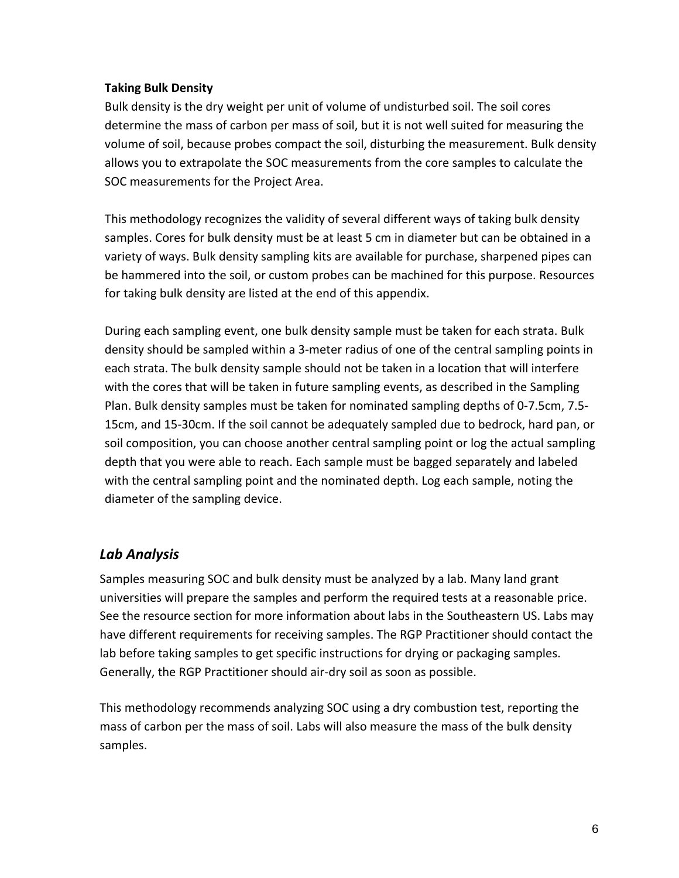## **Taking Bulk Density**

Bulk density is the dry weight per unit of volume of undisturbed soil. The soil cores determine the mass of carbon per mass of soil, but it is not well suited for measuring the volume of soil, because probes compact the soil, disturbing the measurement. Bulk density allows you to extrapolate the SOC measurements from the core samples to calculate the SOC measurements for the Project Area.

This methodology recognizes the validity of several different ways of taking bulk density samples. Cores for bulk density must be at least 5 cm in diameter but can be obtained in a variety of ways. Bulk density sampling kits are available for purchase, sharpened pipes can be hammered into the soil, or custom probes can be machined for this purpose. Resources for taking bulk density are listed at the end of this appendix.

During each sampling event, one bulk density sample must be taken for each strata. Bulk density should be sampled within a 3-meter radius of one of the central sampling points in each strata. The bulk density sample should not be taken in a location that will interfere with the cores that will be taken in future sampling events, as described in the Sampling Plan. Bulk density samples must be taken for nominated sampling depths of 0-7.5cm, 7.5- 15cm, and 15-30cm. If the soil cannot be adequately sampled due to bedrock, hard pan, or soil composition, you can choose another central sampling point or log the actual sampling depth that you were able to reach. Each sample must be bagged separately and labeled with the central sampling point and the nominated depth. Log each sample, noting the diameter of the sampling device.

# *Lab Analysis*

Samples measuring SOC and bulk density must be analyzed by a lab. Many land grant universities will prepare the samples and perform the required tests at a reasonable price. See the resource section for more information about labs in the Southeastern US. Labs may have different requirements for receiving samples. The RGP Practitioner should contact the lab before taking samples to get specific instructions for drying or packaging samples. Generally, the RGP Practitioner should air-dry soil as soon as possible.

This methodology recommends analyzing SOC using a dry combustion test, reporting the mass of carbon per the mass of soil. Labs will also measure the mass of the bulk density samples.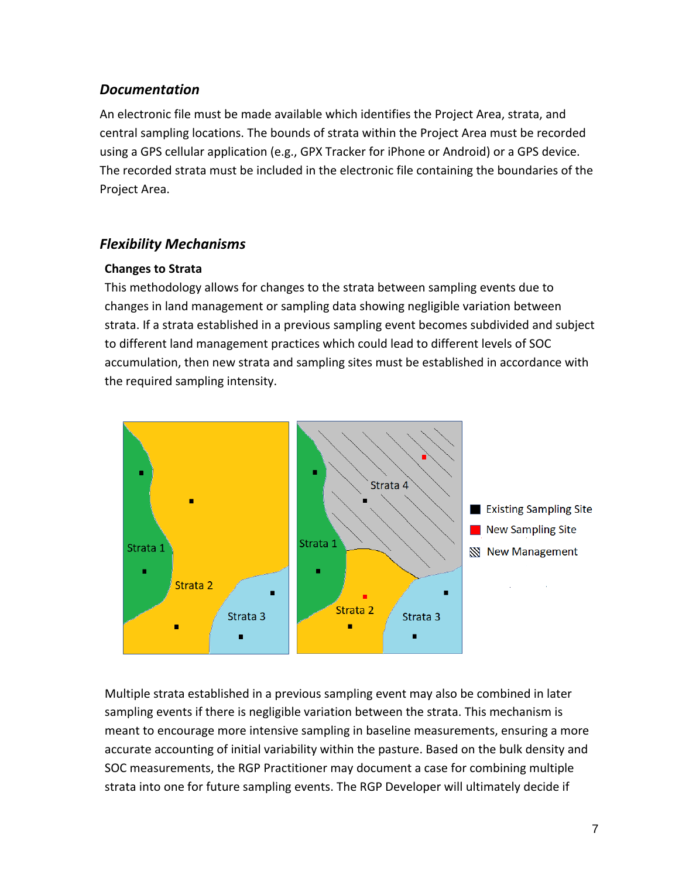# *Documentation*

An electronic file must be made available which identifies the Project Area, strata, and central sampling locations. The bounds of strata within the Project Area must be recorded using a GPS cellular application (e.g., GPX Tracker for iPhone or Android) or a GPS device. The recorded strata must be included in the electronic file containing the boundaries of the Project Area.

# *Flexibility Mechanisms*

## **Changes to Strata**

This methodology allows for changes to the strata between sampling events due to changes in land management or sampling data showing negligible variation between strata. If a strata established in a previous sampling event becomes subdivided and subject to different land management practices which could lead to different levels of SOC accumulation, then new strata and sampling sites must be established in accordance with the required sampling intensity.



Multiple strata established in a previous sampling event may also be combined in later sampling events if there is negligible variation between the strata. This mechanism is meant to encourage more intensive sampling in baseline measurements, ensuring a more accurate accounting of initial variability within the pasture. Based on the bulk density and SOC measurements, the RGP Practitioner may document a case for combining multiple strata into one for future sampling events. The RGP Developer will ultimately decide if